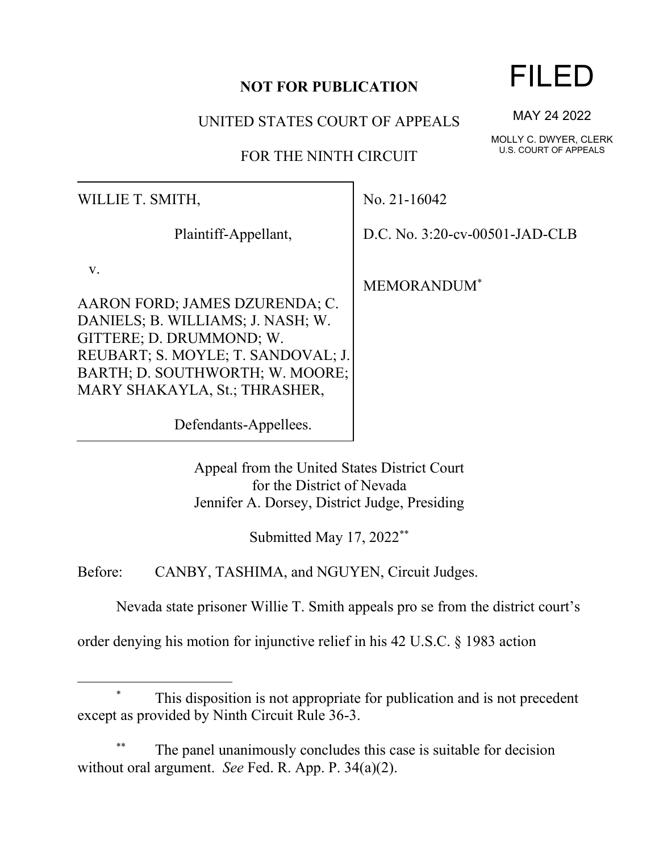## **NOT FOR PUBLICATION**

UNITED STATES COURT OF APPEALS

FOR THE NINTH CIRCUIT

WILLIE T. SMITH,

Plaintiff-Appellant,

v.

AARON FORD; JAMES DZURENDA; C. DANIELS; B. WILLIAMS; J. NASH; W. GITTERE; D. DRUMMOND; W. REUBART; S. MOYLE; T. SANDOVAL; J. BARTH; D. SOUTHWORTH; W. MOORE; MARY SHAKAYLA, St.; THRASHER,

Defendants-Appellees.

Appeal from the United States District Court for the District of Nevada Jennifer A. Dorsey, District Judge, Presiding

Submitted May 17, 2022\*\*

Before: CANBY, TASHIMA, and NGUYEN, Circuit Judges.

Nevada state prisoner Willie T. Smith appeals pro se from the district court's

order denying his motion for injunctive relief in his 42 U.S.C. § 1983 action

## This disposition is not appropriate for publication and is not precedent except as provided by Ninth Circuit Rule 36-3.

The panel unanimously concludes this case is suitable for decision without oral argument. *See* Fed. R. App. P. 34(a)(2).

## FILED

MAY 24 2022

MOLLY C. DWYER, CLERK U.S. COURT OF APPEALS

No. 21-16042

D.C. No. 3:20-cv-00501-JAD-CLB

MEMORANDUM\*